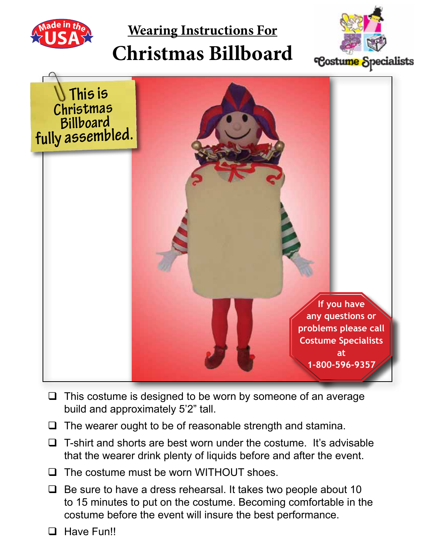

**Wearing Instructions For**

# **Christmas Billboard**





- $\Box$  This costume is designed to be worn by someone of an average build and approximately 5'2" tall.
- $\Box$  The wearer ought to be of reasonable strength and stamina.
- $\Box$  T-shirt and shorts are best worn under the costume. It's advisable that the wearer drink plenty of liquids before and after the event.
- $\Box$  The costume must be worn WITHOUT shoes.
- $\Box$  Be sure to have a dress rehearsal. It takes two people about 10 to 15 minutes to put on the costume. Becoming comfortable in the costume before the event will insure the best performance.
- **Q** Have Fun!!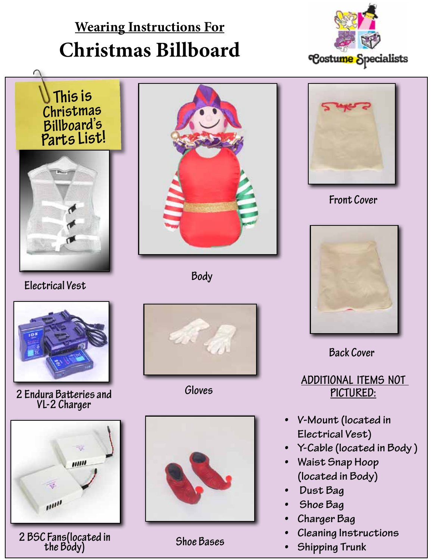## **Wearing Instructions For Christmas Billboard**





**Electrical Vest**



**2 Endura Batteries and VL-2 Charger**



**Shoe Bases 2 BSC Fans(located in the Body)**



**Body**



**Gloves**





**Front Cover**



**Back Cover**

#### **Additional Items not Pictured:**

- **• V-Mount (located in Electrical Vest)**
- **• Y-Cable (located in Body )**
- **• Waist Snap Hoop (located in Body)**
- **• Dust Bag**
- **Shoe** Bag
- **• Charger Bag**
- **• Cleaning Instructions**
- **• Shipping Trunk**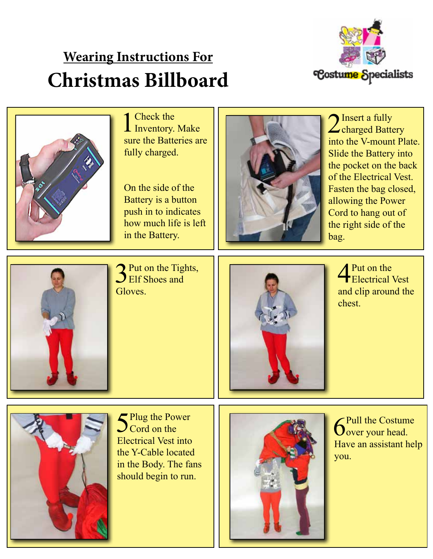### **Wearing Instructions For Christmas Billboard**





1 Check the Inventory. Make sure the Batteries are fully charged.

On the side of the Battery is a button push in to indicates how much life is left in the Battery.



2 Insert a fully<br>charged Battery into the V-mount Plate. Slide the Battery into the pocket on the back of the Electrical Vest. Fasten the bag closed, allowing the Power Cord to hang out of the right side of the bag.



 $\sum$  Put on the Tights, **J** Elf Shoes and Gloves.



**4** Put on the Electrical Vest and clip around the chest.



5Plug the Power  $\int$  Cord on the Electrical Vest into the Y-Cable located in the Body. The fans should begin to run.



**6**Pull the Costume over your head. Have an assistant help you.